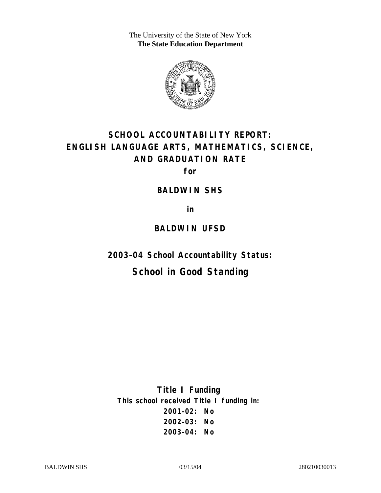The University of the State of New York **The State Education Department** 



# **SCHOOL ACCOUNTABILITY REPORT: ENGLISH LANGUAGE ARTS, MATHEMATICS, SCIENCE, AND GRADUATION RATE**

**for** 

### **BALDWIN SHS**

**in** 

### **BALDWIN UFSD**

**2003–04 School Accountability Status:** 

# **School in Good Standing**

**Title I Funding This school received Title I funding in: 2001–02: No 2002–03: No 2003–04: No**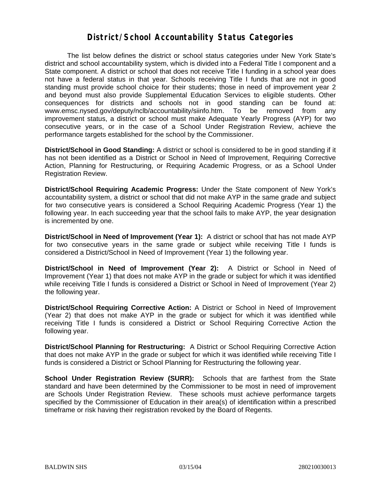### **District/School Accountability Status Categories**

The list below defines the district or school status categories under New York State's district and school accountability system, which is divided into a Federal Title I component and a State component. A district or school that does not receive Title I funding in a school year does not have a federal status in that year. Schools receiving Title I funds that are not in good standing must provide school choice for their students; those in need of improvement year 2 and beyond must also provide Supplemental Education Services to eligible students. Other consequences for districts and schools not in good standing can be found at: www.emsc.nysed.gov/deputy/nclb/accountability/siinfo.htm. To be removed from any improvement status, a district or school must make Adequate Yearly Progress (AYP) for two consecutive years, or in the case of a School Under Registration Review, achieve the performance targets established for the school by the Commissioner.

**District/School in Good Standing:** A district or school is considered to be in good standing if it has not been identified as a District or School in Need of Improvement, Requiring Corrective Action, Planning for Restructuring, or Requiring Academic Progress, or as a School Under Registration Review.

**District/School Requiring Academic Progress:** Under the State component of New York's accountability system, a district or school that did not make AYP in the same grade and subject for two consecutive years is considered a School Requiring Academic Progress (Year 1) the following year. In each succeeding year that the school fails to make AYP, the year designation is incremented by one.

**District/School in Need of Improvement (Year 1):** A district or school that has not made AYP for two consecutive years in the same grade or subject while receiving Title I funds is considered a District/School in Need of Improvement (Year 1) the following year.

**District/School in Need of Improvement (Year 2):** A District or School in Need of Improvement (Year 1) that does not make AYP in the grade or subject for which it was identified while receiving Title I funds is considered a District or School in Need of Improvement (Year 2) the following year.

**District/School Requiring Corrective Action:** A District or School in Need of Improvement (Year 2) that does not make AYP in the grade or subject for which it was identified while receiving Title I funds is considered a District or School Requiring Corrective Action the following year.

**District/School Planning for Restructuring:** A District or School Requiring Corrective Action that does not make AYP in the grade or subject for which it was identified while receiving Title I funds is considered a District or School Planning for Restructuring the following year.

**School Under Registration Review (SURR):** Schools that are farthest from the State standard and have been determined by the Commissioner to be most in need of improvement are Schools Under Registration Review. These schools must achieve performance targets specified by the Commissioner of Education in their area(s) of identification within a prescribed timeframe or risk having their registration revoked by the Board of Regents.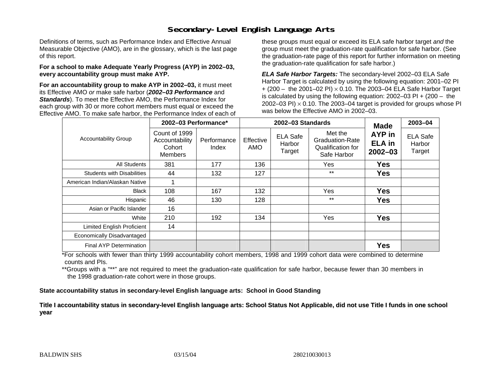## **Secondary-Level English Language Arts**

Definitions of terms, such as Performance Index and Effective Annual Measurable Objective (AMO), are in the glossary, which is the last page of this report.

#### **For a school to make Adequate Yearly Progress (AYP) in 2002–03, every accountability group must make AYP.**

**For an accountability group to make AYP in 2002–03,** it must meet its Effective AMO *or* make safe harbor (*2002–03 Performance* and *Standards*). To meet the Effective AMO, the Performance Index for each group with 30 or more cohort members must equal or exceed the Effective AMO. To make safe harbor, the Performance Index of each of these groups must equal or exceed its ELA safe harbor target *and* the group must meet the graduation-rate qualification for safe harbor. (See the graduation-rate page of this report for further information on meeting the graduation-rate qualification for safe harbor.)

*ELA Safe Harbor Targets:* The secondary-level 2002–03 ELA Safe Harbor Target is calculated by using the following equation: 2001–02 PI + (200 – the 2001–02 PI) <sup>×</sup> 0.10. The 2003–04 ELA Safe Harbor Target is calculated by using the following equation: 2002–03 PI + (200 – the 2002–03 PI)  $\times$  0.10. The 2003–04 target is provided for groups whose PI was below the Effective AMO in 2002–03.

| <b>Accountability Group</b>       | 2002-03 Performance*                                        |                      |                  | 2002-03 Standards                   | <b>Made</b>                                                           | 2003-04                                |                                     |
|-----------------------------------|-------------------------------------------------------------|----------------------|------------------|-------------------------------------|-----------------------------------------------------------------------|----------------------------------------|-------------------------------------|
|                                   | Count of 1999<br>Accountability<br>Cohort<br><b>Members</b> | Performance<br>Index | Effective<br>AMO | <b>ELA Safe</b><br>Harbor<br>Target | Met the<br><b>Graduation-Rate</b><br>Qualification for<br>Safe Harbor | AYP in<br><b>ELA in</b><br>$2002 - 03$ | <b>ELA Safe</b><br>Harbor<br>Target |
| All Students                      | 381                                                         | 177                  | 136              |                                     | Yes                                                                   | <b>Yes</b>                             |                                     |
| <b>Students with Disabilities</b> | 44                                                          | 132                  | 127              |                                     | $***$                                                                 | <b>Yes</b>                             |                                     |
| American Indian/Alaskan Native    |                                                             |                      |                  |                                     |                                                                       |                                        |                                     |
| <b>Black</b>                      | 108                                                         | 167                  | 132              |                                     | Yes                                                                   | <b>Yes</b>                             |                                     |
| Hispanic                          | 46                                                          | 130                  | 128              |                                     | $***$                                                                 | <b>Yes</b>                             |                                     |
| Asian or Pacific Islander         | 16                                                          |                      |                  |                                     |                                                                       |                                        |                                     |
| White                             | 210                                                         | 192                  | 134              |                                     | Yes                                                                   | <b>Yes</b>                             |                                     |
| Limited English Proficient        | 14                                                          |                      |                  |                                     |                                                                       |                                        |                                     |
| Economically Disadvantaged        |                                                             |                      |                  |                                     |                                                                       |                                        |                                     |
| <b>Final AYP Determination</b>    |                                                             |                      |                  |                                     |                                                                       | <b>Yes</b>                             |                                     |

\*For schools with fewer than thirty 1999 accountability cohort members, 1998 and 1999 cohort data were combined to determine counts and PIs.

\*\*Groups with a "\*\*" are not required to meet the graduation-rate qualification for safe harbor, because fewer than 30 members in the 1998 graduation-rate cohort were in those groups.

**State accountability status in secondary-level English language arts: School in Good Standing** 

Title I accountability status in secondary-level English language arts: School Status Not Applicable, did not use Title I funds in one school **y ear**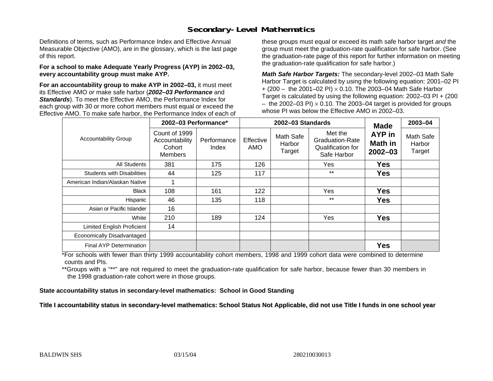### **Secondary-Level Mathematics**

Definitions of terms, such as Performance Index and Effective Annual Measurable Objective (AMO), are in the glossary, which is the last page of this report.

#### **For a school to make Adequate Yearly Progress (AYP) in 2002–03, every accountability group must make AYP.**

**For an accountability group to make AYP in 2002–03,** it must meet its Effective AMO *or* make safe harbor (*2002–03 Performance* and *Standards*). To meet the Effective AMO, the Performance Index for each group with 30 or more cohort members must equal or exceed the Effective AMO. To make safe harbor, the Performance Index of each of these groups must equal or exceed its math safe harbor target *and* the group must meet the graduation-rate qualification for safe harbor. (See the graduation-rate page of this report for further information on meeting the graduation-rate qualification for safe harbor.)

*Math Safe Harbor Targets:* The secondary-level 2002–03 Math Safe Harbor Target is calculated by using the following equation: 2001–02 PI + (200 – the 2001–02 PI) × 0.10. The 2003–04 Math Safe Harbor Target is calculated by using the following equation: 2002–03 PI + (200  $-$  the 2002–03 PI)  $\times$  0.10. The 2003–04 target is provided for groups whose PI was below the Effective AMO in 2002–03.

| <b>Accountability Group</b>       | 2002-03 Performance*                                        |                      |                         | 2002-03 Standards             | <b>Made</b>                                                                  | 2003-04                          |                               |
|-----------------------------------|-------------------------------------------------------------|----------------------|-------------------------|-------------------------------|------------------------------------------------------------------------------|----------------------------------|-------------------------------|
|                                   | Count of 1999<br>Accountability<br>Cohort<br><b>Members</b> | Performance<br>Index | Effective<br><b>AMO</b> | Math Safe<br>Harbor<br>Target | Met the<br><b>Graduation-Rate</b><br><b>Qualification for</b><br>Safe Harbor | AYP in<br>Math in<br>$2002 - 03$ | Math Safe<br>Harbor<br>Target |
| <b>All Students</b>               | 381                                                         | 175                  | 126                     |                               | Yes                                                                          | <b>Yes</b>                       |                               |
| <b>Students with Disabilities</b> | 44                                                          | 125                  | 117                     |                               | $***$                                                                        | <b>Yes</b>                       |                               |
| American Indian/Alaskan Native    |                                                             |                      |                         |                               |                                                                              |                                  |                               |
| <b>Black</b>                      | 108                                                         | 161                  | 122                     |                               | Yes                                                                          | <b>Yes</b>                       |                               |
| Hispanic                          | 46                                                          | 135                  | 118                     |                               | $***$                                                                        | <b>Yes</b>                       |                               |
| Asian or Pacific Islander         | 16                                                          |                      |                         |                               |                                                                              |                                  |                               |
| White                             | 210                                                         | 189                  | 124                     |                               | Yes                                                                          | <b>Yes</b>                       |                               |
| Limited English Proficient        | 14                                                          |                      |                         |                               |                                                                              |                                  |                               |
| Economically Disadvantaged        |                                                             |                      |                         |                               |                                                                              |                                  |                               |
| Final AYP Determination           |                                                             |                      |                         |                               |                                                                              | <b>Yes</b>                       |                               |

\*For schools with fewer than thirty 1999 accountability cohort members, 1998 and 1999 cohort data were combined to determine counts and PIs.

\*\*Groups with a "\*\*" are not required to meet the graduation-rate qualification for safe harbor, because fewer than 30 members in the 1998 graduation-rate cohort were in those groups.

**State accountability status in secondary-level mathematics: School in Good Standing** 

Title I accountability status in secondary-level mathematics: School Status Not Applicable, did not use Title I funds in one school year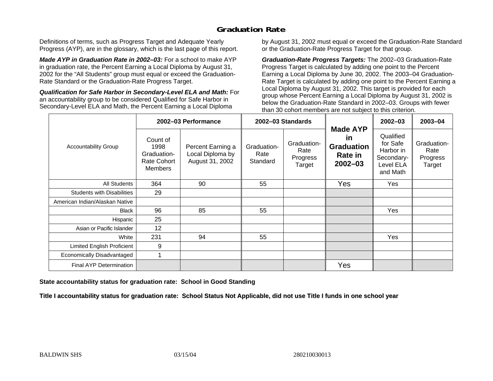## **Graduation Rate**

Definitions of terms, such as Progress Target and Adequate Yearly Progress (AYP), are in the glossary, which is the last page of this report.

*Made AYP in Graduation Rate in 2002–03:* For a school to make AYP in graduation rate, the Percent Earning a Local Diploma by August 31, 2002 for the "All Students" group must equal or exceed the Graduation-Rate Standard or the Graduation-Rate Progress Target.

*Qualification for Safe Harbor in Secondary-Level ELA and Math:* For an accountability group to be considered Qualified for Safe Harbor in Secondary-Level ELA and Math, the Percent Earning a Local Diploma

by August 31, 2002 must equal or exceed the Graduation-Rate Standard or the Graduation-Rate Progress Target for that group.

*Graduation-Rate Progress Targets:* The 2002–03 Graduation-Rate Progress Target is calculated by adding one point to the Percent Earning a Local Diploma by June 30, 2002. The 2003–04 Graduation-Rate Target is calculated by adding one point to the Percent Earning a Local Diploma by August 31, 2002. This target is provided for each group whose Percent Earning a Local Diploma by August 31, 2002 is below the Graduation-Rate Standard in 2002–03. Groups with fewer than 30 cohort members are not subject to this criterion.

|                                   | 2002-03 Performance                                                     |                                                          | 2002-03 Standards               |                                           |                                                                      | $2002 - 03$                                                               | 2003-04                                   |
|-----------------------------------|-------------------------------------------------------------------------|----------------------------------------------------------|---------------------------------|-------------------------------------------|----------------------------------------------------------------------|---------------------------------------------------------------------------|-------------------------------------------|
| <b>Accountability Group</b>       | Count of<br>1998<br>Graduation-<br><b>Rate Cohort</b><br><b>Members</b> | Percent Earning a<br>Local Diploma by<br>August 31, 2002 | Graduation-<br>Rate<br>Standard | Graduation-<br>Rate<br>Progress<br>Target | <b>Made AYP</b><br>in<br><b>Graduation</b><br>Rate in<br>$2002 - 03$ | Qualified<br>for Safe<br>Harbor in<br>Secondary-<br>Level ELA<br>and Math | Graduation-<br>Rate<br>Progress<br>Target |
| All Students                      | 364                                                                     | 90                                                       | 55                              |                                           | Yes                                                                  | Yes                                                                       |                                           |
| <b>Students with Disabilities</b> | 29                                                                      |                                                          |                                 |                                           |                                                                      |                                                                           |                                           |
| American Indian/Alaskan Native    |                                                                         |                                                          |                                 |                                           |                                                                      |                                                                           |                                           |
| <b>Black</b>                      | 96                                                                      | 85                                                       | 55                              |                                           |                                                                      | Yes                                                                       |                                           |
| Hispanic                          | 25                                                                      |                                                          |                                 |                                           |                                                                      |                                                                           |                                           |
| Asian or Pacific Islander         | 12                                                                      |                                                          |                                 |                                           |                                                                      |                                                                           |                                           |
| White                             | 231                                                                     | 94                                                       | 55                              |                                           |                                                                      | Yes                                                                       |                                           |
| Limited English Proficient        | 9                                                                       |                                                          |                                 |                                           |                                                                      |                                                                           |                                           |
| Economically Disadvantaged        |                                                                         |                                                          |                                 |                                           |                                                                      |                                                                           |                                           |
| <b>Final AYP Determination</b>    |                                                                         |                                                          |                                 |                                           | Yes                                                                  |                                                                           |                                           |

**State accountability status for graduation rate: School in Good Standing** 

Title I accountability status for graduation rate: School Status Not Applicable, did not use Title I funds in one school year